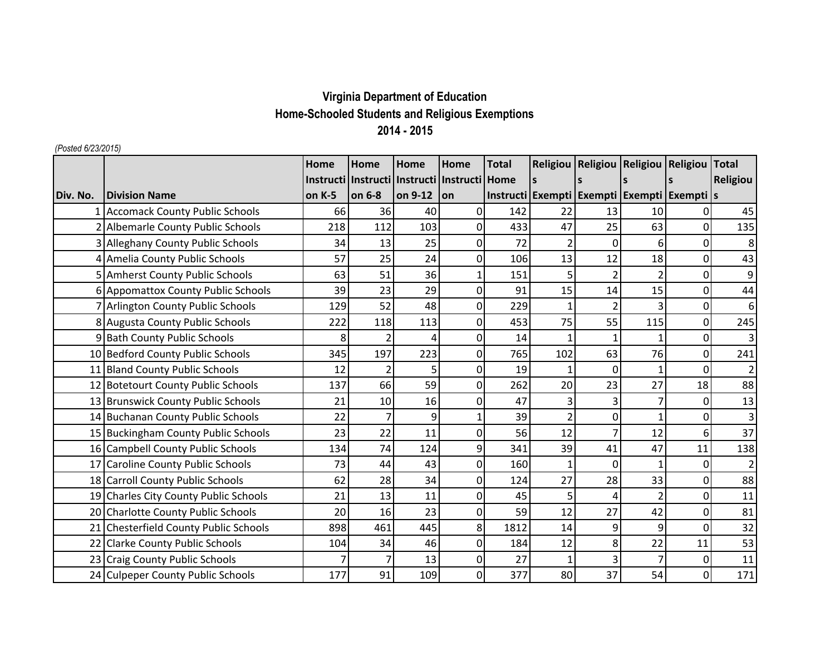## **Virginia Department of Education Home-Schooled Students and Religious Exemptions 2014 - 2015**

## *(Posted 6/23/2015)*

|          |                                        | Home   | Home                                                 | Home    | Home        | <b>Total</b> |              | Religiou   Religiou   Religiou   Religiou   Total     |                |                |                |
|----------|----------------------------------------|--------|------------------------------------------------------|---------|-------------|--------------|--------------|-------------------------------------------------------|----------------|----------------|----------------|
|          |                                        |        | Instructi   Instructi   Instructi   Instructi   Home |         |             |              | $\mathsf{s}$ |                                                       |                |                | Religiou       |
| Div. No. | <b>Division Name</b>                   | on K-5 | on 6-8                                               | on 9-12 | l on        |              |              | Instructi   Exempti   Exempti   Exempti   Exempti   s |                |                |                |
|          | <b>Accomack County Public Schools</b>  | 66     | 36                                                   | 40      | 0           | 142          | 22           | 13                                                    | 10             | 01             | 45             |
|          | Albemarle County Public Schools        | 218    | 112                                                  | 103     | 0           | 433          | 47           | 25                                                    | 63             | $\Omega$       | 135            |
|          | <b>Alleghany County Public Schools</b> | 34     | 13                                                   | 25      | $\Omega$    | 72           |              | $\Omega$                                              | 6              | $\Omega$       | 8              |
|          | Amelia County Public Schools           | 57     | 25                                                   | 24      | $\Omega$    | 106          | 13           | 12                                                    | 18             | $\Omega$       | 43             |
|          | <b>Amherst County Public Schools</b>   | 63     | 51                                                   | 36      |             | 151          |              |                                                       | $\overline{2}$ | ΟI             | 9              |
|          | 6 Appomattox County Public Schools     | 39     | 23                                                   | 29      | $\mathbf 0$ | 91           | 15           | 14                                                    | 15             | $\Omega$       | 44             |
|          | Arlington County Public Schools        | 129    | 52                                                   | 48      | 0           | 229          |              | $\overline{2}$                                        | 3              | 0              | 6              |
|          | 8 Augusta County Public Schools        | 222    | 118                                                  | 113     | 0           | 453          | 75           | 55                                                    | 115            | $\Omega$       | 245            |
|          | 9 Bath County Public Schools           | 8      |                                                      | 4       | 0           | 14           |              |                                                       | $\mathbf{1}$   | 0              | 3              |
|          | 10 Bedford County Public Schools       | 345    | 197                                                  | 223     | 0           | 765          | 102          | 63                                                    | 76             | $\Omega$       | 241            |
|          | 11 Bland County Public Schools         | 12     |                                                      | 5       | $\Omega$    | 19           |              | $\Omega$                                              | $\mathbf{1}$   | $\Omega$       | $\overline{2}$ |
|          | 12 Botetourt County Public Schools     | 137    | 66                                                   | 59      | $\Omega$    | 262          | 20           | 23                                                    | 27             | 18             | 88             |
|          | 13 Brunswick County Public Schools     | 21     | 10                                                   | 16      | 0           | 47           |              | 3                                                     | $\overline{7}$ | ΟI             | 13             |
|          | 14 Buchanan County Public Schools      | 22     | 7                                                    | 9       |             | 39           |              | 0                                                     | $\mathbf{1}$   | $\Omega$       | 3              |
|          | 15 Buckingham County Public Schools    | 23     | 22                                                   | 11      | 0           | 56           | 12           |                                                       | 12             | 6              | 37             |
|          | 16 Campbell County Public Schools      | 134    | 74                                                   | 124     | 9           | 341          | 39           | 41                                                    | 47             | 11             | 138            |
|          | 17 Caroline County Public Schools      | 73     | 44                                                   | 43      | 0           | 160          |              | $\mathbf 0$                                           | $\mathbf{1}$   | $\overline{0}$ | $\overline{2}$ |
|          | 18 Carroll County Public Schools       | 62     | 28                                                   | 34      | 0           | 124          | 27           | 28                                                    | 33             | 0              | 88             |
|          | 19 Charles City County Public Schools  | 21     | 13                                                   | 11      | 0           | 45           |              | 4                                                     | $\overline{2}$ | 0              | 11             |
|          | 20 Charlotte County Public Schools     | 20     | 16                                                   | 23      | $\Omega$    | 59           | 12           | 27                                                    | 42             | $\Omega$       | 81             |
|          | 21 Chesterfield County Public Schools  | 898    | 461                                                  | 445     | 8           | 1812         | 14           | 9                                                     | 9              | $\Omega$       | 32             |
|          | 22 Clarke County Public Schools        | 104    | 34                                                   | 46      | 0           | 184          | 12           | 8                                                     | 22             | 11             | 53             |
|          | 23 Craig County Public Schools         |        |                                                      | 13      | $\Omega$    | 27           |              | 3                                                     | $\overline{7}$ | 0              | 11             |
|          | 24 Culpeper County Public Schools      | 177    | 91                                                   | 109     | $\Omega$    | 377          | 80           | 37                                                    | 54             | 0              | 171            |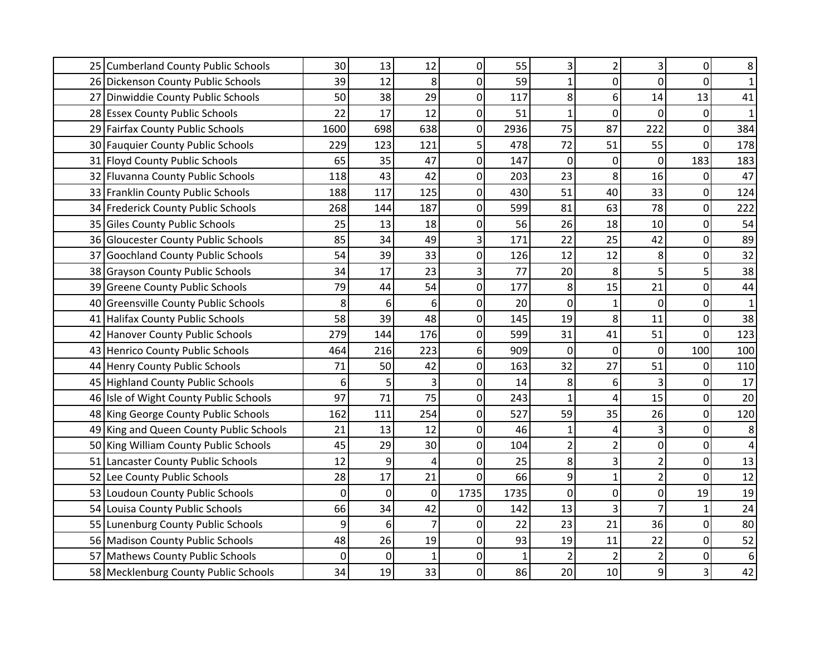|    | 25 Cumberland County Public Schools      | 30   | 13          | 12             | $\overline{0}$ | 55   | 3           | $\overline{2}$ | 3              | $\mathbf{0}$   | 8                |
|----|------------------------------------------|------|-------------|----------------|----------------|------|-------------|----------------|----------------|----------------|------------------|
|    | 26 Dickenson County Public Schools       | 39   | 12          | 8              | $\mathbf 0$    | 59   | 1           | $\mathbf 0$    | 0              | $\mathbf 0$    | 1                |
|    | 27 Dinwiddie County Public Schools       | 50   | 38          | 29             | $\overline{0}$ | 117  | 8           | 6              | 14             | 13             | 41               |
|    | 28 Essex County Public Schools           | 22   | 17          | 12             | $\mathbf 0$    | 51   | 1           | $\mathbf 0$    | 0              | 0              | $\mathbf{1}$     |
|    | 29 Fairfax County Public Schools         | 1600 | 698         | 638            | 0              | 2936 | 75          | 87             | 222            | 0              | 384              |
|    | 30 Fauquier County Public Schools        | 229  | 123         | 121            | 5              | 478  | 72          | 51             | 55             | $\mathbf 0$    | 178              |
|    | 31 Floyd County Public Schools           | 65   | 35          | 47             | $\overline{0}$ | 147  | $\mathbf 0$ | $\mathbf 0$    | 0              | 183            | 183              |
|    | 32 Fluvanna County Public Schools        | 118  | 43          | 42             | $\overline{0}$ | 203  | 23          | 8              | 16             | 0              | 47               |
|    | 33 Franklin County Public Schools        | 188  | 117         | 125            | $\overline{0}$ | 430  | 51          | 40             | 33             | $\Omega$       | 124              |
|    | 34 Frederick County Public Schools       | 268  | 144         | 187            | $\mathbf 0$    | 599  | 81          | 63             | 78             | $\overline{0}$ | 222              |
|    | 35 Giles County Public Schools           | 25   | 13          | 18             | $\overline{0}$ | 56   | 26          | 18             | 10             | 0              | 54               |
|    | 36 Gloucester County Public Schools      | 85   | 34          | 49             | 3              | 171  | 22          | 25             | 42             | $\mathbf 0$    | 89               |
| 37 | <b>Goochland County Public Schools</b>   | 54   | 39          | 33             | 0              | 126  | 12          | 12             | 8              | 0              | 32               |
|    | 38 Grayson County Public Schools         | 34   | 17          | 23             | 3              | 77   | 20          | 8              | 5              | 5              | 38               |
|    | 39 Greene County Public Schools          | 79   | 44          | 54             | $\overline{0}$ | 177  | 8           | 15             | 21             | 0              | 44               |
| 40 | <b>Greensville County Public Schools</b> | 8    | 6           | 6              | $\overline{0}$ | 20   | 0           | 1              | $\mathbf 0$    | $\mathbf{0}$   | $\mathbf{1}$     |
|    | 41 Halifax County Public Schools         | 58   | 39          | 48             | $\mathbf 0$    | 145  | 19          | 8              | 11             | $\mathbf 0$    | 38               |
|    | 42 Hanover County Public Schools         | 279  | 144         | 176            | $\mathbf 0$    | 599  | 31          | 41             | 51             | $\mathbf 0$    | 123              |
|    | 43 Henrico County Public Schools         | 464  | 216         | 223            | 6              | 909  | $\Omega$    | 0              | 0              | 100            | 100              |
|    | 44 Henry County Public Schools           | 71   | 50          | 42             | 0              | 163  | 32          | 27             | 51             | 0              | 110              |
|    | 45 Highland County Public Schools        | 6    | 5           | 3              | $\overline{0}$ | 14   | 8           | 6              | 3              | 0              | 17               |
|    | 46 Isle of Wight County Public Schools   | 97   | 71          | 75             | $\mathbf 0$    | 243  |             | 4              | 15             | 0              | $20\,$           |
|    | 48 King George County Public Schools     | 162  | 111         | 254            | $\overline{0}$ | 527  | 59          | 35             | 26             | 0              | 120              |
|    | 49 King and Queen County Public Schools  | 21   | 13          | 12             | $\Omega$       | 46   |             | 4              | 3              | 0              | 8                |
|    | 50 King William County Public Schools    | 45   | 29          | 30             | $\overline{0}$ | 104  |             | $\overline{2}$ | 0              | 0              | 4                |
|    | 51 Lancaster County Public Schools       | 12   | 9           | 4              | $\mathbf 0$    | 25   | 8           | 3              | $\overline{2}$ | 0              | 13               |
| 52 | Lee County Public Schools                | 28   | 17          | 21             | $\mathbf 0$    | 66   | 9           | $\mathbf{1}$   | $\overline{2}$ | 0              | 12               |
| 53 | Loudoun County Public Schools            | 0    | 0           | 0              | 1735           | 1735 | 0           | 0              | 0              | 19             | 19               |
| 54 | Louisa County Public Schools             | 66   | 34          | 42             | $\overline{0}$ | 142  | 13          | 3              | $\overline{7}$ |                | 24               |
|    | 55 Lunenburg County Public Schools       | 9    | 6           | $\overline{7}$ | $\overline{0}$ | 22   | 23          | 21             | 36             | 0              | 80               |
|    | 56 Madison County Public Schools         | 48   | 26          | 19             | $\overline{0}$ | 93   | 19          | 11             | 22             | $\mathbf 0$    | 52               |
|    | 57 Mathews County Public Schools         | 0    | $\mathbf 0$ | $\mathbf{1}$   | 0              |      |             |                | $\overline{2}$ | 0              | $\boldsymbol{6}$ |
|    | 58 Mecklenburg County Public Schools     | 34   | 19          | 33             | $\overline{0}$ | 86   | 20          | 10             | 9              |                | 42               |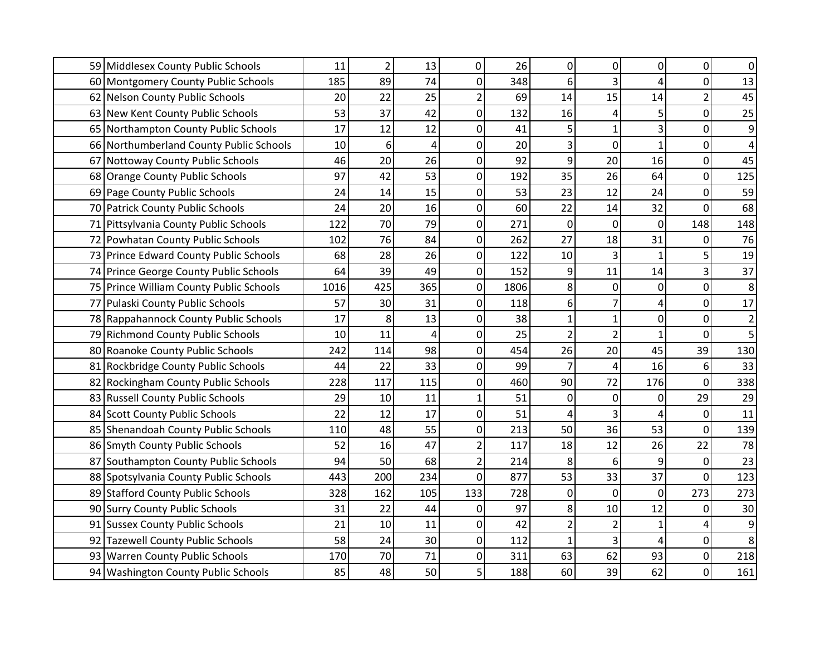|    | 59 Middlesex County Public Schools      | 11   | $\overline{2}$ | 13  | 0              | 26   | $\overline{0}$ | 0              | 0            | 0                | 0                       |
|----|-----------------------------------------|------|----------------|-----|----------------|------|----------------|----------------|--------------|------------------|-------------------------|
|    | 60 Montgomery County Public Schools     | 185  | 89             | 74  | $\mathbf 0$    | 348  | 6              | 3              | 4            | $\mathbf 0$      | 13                      |
|    | 62 Nelson County Public Schools         | 20   | 22             | 25  | $\overline{2}$ | 69   | 14             | 15             | 14           | $\overline{2}$   | 45                      |
|    | 63 New Kent County Public Schools       | 53   | 37             | 42  | 0              | 132  | 16             | 4              | 5            | $\mathbf 0$      | 25                      |
|    | 65 Northampton County Public Schools    | 17   | 12             | 12  | 0              | 41   | 5              | $\mathbf{1}$   | 3            | $\mathbf 0$      | 9                       |
|    | 66 Northumberland County Public Schools | 10   | 6              | 4   | 0              | 20   | 3              | $\overline{0}$ | $\mathbf{1}$ | $\mathbf 0$      | 4                       |
|    | 67 Nottoway County Public Schools       | 46   | 20             | 26  | $\mathbf 0$    | 92   | 9              | 20             | 16           | $\boldsymbol{0}$ | 45                      |
|    | 68 Orange County Public Schools         | 97   | 42             | 53  | $\mathbf 0$    | 192  | 35             | 26             | 64           | 0                | 125                     |
|    | 69 Page County Public Schools           | 24   | 14             | 15  | 0              | 53   | 23             | 12             | 24           | $\mathbf 0$      | 59                      |
|    | 70 Patrick County Public Schools        | 24   | 20             | 16  | 0              | 60   | 22             | 14             | 32           | $\mathbf 0$      | 68                      |
|    | 71 Pittsylvania County Public Schools   | 122  | 70             | 79  | $\mathbf 0$    | 271  | $\mathbf 0$    | 0              | $\pmb{0}$    | 148              | 148                     |
|    | 72 Powhatan County Public Schools       | 102  | 76             | 84  | 0              | 262  | 27             | 18             | 31           | 0                | 76                      |
|    | 73 Prince Edward County Public Schools  | 68   | 28             | 26  | 0              | 122  | 10             | 3              | $\mathbf{1}$ | 5                | 19                      |
|    | 74 Prince George County Public Schools  | 64   | 39             | 49  | $\mathbf 0$    | 152  | 9              | 11             | 14           | 3                | 37                      |
|    | 75 Prince William County Public Schools | 1016 | 425            | 365 | $\overline{0}$ | 1806 | 8              | 0              | 0            | 0                | 8                       |
|    | 77 Pulaski County Public Schools        | 57   | 30             | 31  | $\Omega$       | 118  | 6              |                | 4            | 0                | 17                      |
|    | 78 Rappahannock County Public Schools   | 17   | 8              | 13  | 0              | 38   |                | 1              | 0            | 0                | $\overline{\mathbf{c}}$ |
|    | 79 Richmond County Public Schools       | 10   | 11             | 4   | 0              | 25   | $\mathfrak{p}$ | $\overline{2}$ | $\mathbf{1}$ | $\mathbf 0$      | 5                       |
|    | 80 Roanoke County Public Schools        | 242  | 114            | 98  | 0              | 454  | 26             | 20             | 45           | 39               | 130                     |
|    | 81 Rockbridge County Public Schools     | 44   | 22             | 33  | 0              | 99   |                | 4              | 16           | 6                | 33                      |
|    | 82 Rockingham County Public Schools     | 228  | 117            | 115 | 0              | 460  | 90             | 72             | 176          | 0                | 338                     |
|    | 83 Russell County Public Schools        | 29   | 10             | 11  | $\mathbf{1}$   | 51   | $\Omega$       | 0              | 0            | 29               | 29                      |
|    | 84 Scott County Public Schools          | 22   | 12             | 17  | 0              | 51   | 4              | 3              | 4            | 0                | 11                      |
|    | 85 Shenandoah County Public Schools     | 110  | 48             | 55  | 0              | 213  | 50             | 36             | 53           | 0                | 139                     |
|    | 86 Smyth County Public Schools          | 52   | 16             | 47  | $\overline{2}$ | 117  | 18             | 12             | 26           | 22               | 78                      |
|    | 87 Southampton County Public Schools    | 94   | 50             | 68  | $\overline{2}$ | 214  | 8              | 6              | 9            | 0                | 23                      |
|    | 88 Spotsylvania County Public Schools   | 443  | 200            | 234 | 0              | 877  | 53             | 33             | 37           | 0                | 123                     |
|    | 89 Stafford County Public Schools       | 328  | 162            | 105 | 133            | 728  | 0              | 0              | 0            | 273              | 273                     |
|    | 90 Surry County Public Schools          | 31   | 22             | 44  | 0              | 97   | 8              | 10             | 12           | $\Omega$         | 30                      |
|    | 91 Sussex County Public Schools         | 21   | 10             | 11  | $\pmb{0}$      | 42   | $\overline{2}$ | $\overline{2}$ | $\mathbf 1$  |                  | 9                       |
| 92 | <b>Tazewell County Public Schools</b>   | 58   | 24             | 30  | $\overline{0}$ | 112  | $\mathbf{1}$   | 3              | 4            | 0                | 8                       |
|    | 93 Warren County Public Schools         | 170  | 70             | 71  | 0              | 311  | 63             | 62             | 93           | $\Omega$         | 218                     |
|    | 94 Washington County Public Schools     | 85   | 48             | 50  | 5              | 188  | 60             | 39             | 62           | 0                | 161                     |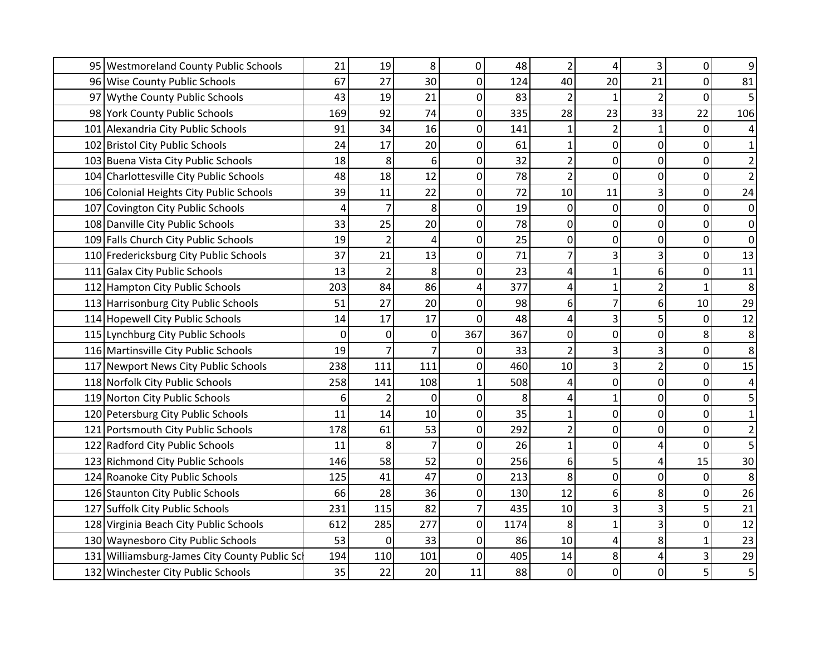| 95 Westmoreland County Public Schools        | 21  | 19             | 8                | 0           | 48   |                | 4              | 3              | 0              | 9                       |
|----------------------------------------------|-----|----------------|------------------|-------------|------|----------------|----------------|----------------|----------------|-------------------------|
| 96 Wise County Public Schools                | 67  | 27             | 30               | $\mathbf 0$ | 124  | 40             | 20             | 21             | $\overline{0}$ | 81                      |
| 97 Wythe County Public Schools               | 43  | 19             | 21               | $\mathbf 0$ | 83   |                | $\mathbf{1}$   | $\overline{2}$ | $\mathbf 0$    | 5                       |
| 98 York County Public Schools                | 169 | 92             | 74               | $\mathbf 0$ | 335  | 28             | 23             | 33             | 22             | 106                     |
| 101 Alexandria City Public Schools           | 91  | 34             | 16               | 0           | 141  |                | $\overline{2}$ | $\mathbf 1$    | 0              | 4                       |
| 102 Bristol City Public Schools              | 24  | 17             | 20               | 0           | 61   | 1              | 0              | $\mathbf 0$    | $\Omega$       | $\mathbf{1}$            |
| 103 Buena Vista City Public Schools          | 18  | 8              | 6                | $\mathbf 0$ | 32   | $\overline{2}$ | 0              | $\mathbf 0$    | 0              | $\overline{\mathbf{c}}$ |
| 104 Charlottesville City Public Schools      | 48  | 18             | 12               | $\mathbf 0$ | 78   | $\overline{2}$ | 0              | $\mathbf 0$    | 0              | $\overline{2}$          |
| 106 Colonial Heights City Public Schools     | 39  | 11             | 22               | $\mathbf 0$ | 72   | 10             | 11             | 3              | 0              | 24                      |
| 107 Covington City Public Schools            | 4   | $\overline{7}$ | 8                | 0           | 19   | $\mathbf 0$    | $\overline{0}$ | $\mathbf 0$    | 0              | 0                       |
| 108 Danville City Public Schools             | 33  | 25             | 20               | $\mathbf 0$ | 78   | 0              | 0              | $\mathbf 0$    | 0              | 0                       |
| 109 Falls Church City Public Schools         | 19  | $\overline{2}$ | 4                | 0           | 25   | 0              | 0              | 0              | $\mathbf 0$    | 0                       |
| 110 Fredericksburg City Public Schools       | 37  | 21             | 13               | $\mathbf 0$ | 71   |                | 3              | 3              | $\Omega$       | 13                      |
| 111 Galax City Public Schools                | 13  | $\overline{2}$ | 8                | $\mathbf 0$ | 23   | 4              | $\mathbf{1}$   | 6              | $\Omega$       | 11                      |
| 112 Hampton City Public Schools              | 203 | 84             | 86               | 4           | 377  | 4              | $\mathbf{1}$   | $\overline{c}$ | 1              | $\bf 8$                 |
| 113 Harrisonburg City Public Schools         | 51  | 27             | 20               | $\mathbf 0$ | 98   | 6              | $\overline{7}$ | 6              | 10             | 29                      |
| 114 Hopewell City Public Schools             | 14  | 17             | 17               | $\mathbf 0$ | 48   | 4              | 3              | 5              | 0              | 12                      |
| 115 Lynchburg City Public Schools            | 0   | $\Omega$       | $\boldsymbol{0}$ | 367         | 367  | 0              | 0              | $\mathbf 0$    | 8              | 8                       |
| 116 Martinsville City Public Schools         | 19  |                | $\overline{7}$   | $\mathbf 0$ | 33   |                | 3              | 3              | $\mathbf 0$    | 8                       |
| 117 Newport News City Public Schools         | 238 | 111            | 111              | 0           | 460  | 10             | 3              | $\overline{2}$ | $\mathbf 0$    | 15                      |
| 118 Norfolk City Public Schools              | 258 | 141            | 108              | 1           | 508  | 4              | 0              | $\mathbf 0$    | 0              | 4                       |
| 119 Norton City Public Schools               | 6   | $\overline{2}$ | 0                | $\mathbf 0$ | 8    | 4              | $\mathbf{1}$   | $\mathbf 0$    | 0              | 5                       |
| 120 Petersburg City Public Schools           | 11  | 14             | 10               | $\mathbf 0$ | 35   |                | 0              | $\pmb{0}$      | $\mathbf 0$    | $\mathbf{1}$            |
| 121 Portsmouth City Public Schools           | 178 | 61             | 53               | $\Omega$    | 292  |                | 0              | 0              | $\mathbf 0$    | $\overline{2}$          |
| 122 Radford City Public Schools              | 11  | 8              | $\overline{7}$   | 0           | 26   |                | 0              | 4              | $\Omega$       | 5                       |
| 123 Richmond City Public Schools             | 146 | 58             | 52               | $\mathbf 0$ | 256  | 6              | 5              | 4              | 15             | 30                      |
| 124 Roanoke City Public Schools              | 125 | 41             | 47               | $\mathbf 0$ | 213  | 8              | 0              | $\mathbf 0$    | $\mathbf 0$    | 8                       |
| 126 Staunton City Public Schools             | 66  | 28             | 36               | 0           | 130  | 12             | 6              | 8              | 0              | 26                      |
| 127 Suffolk City Public Schools              | 231 | 115            | 82               | 7           | 435  | 10             | 3              | 3              | 5              | 21                      |
| 128 Virginia Beach City Public Schools       | 612 | 285            | 277              | $\mathbf 0$ | 1174 | 8              | $\mathbf{1}$   | 3              | 0              | 12                      |
| 130 Waynesboro City Public Schools           | 53  | 0              | 33               | $\mathbf 0$ | 86   | 10             | 4              | 8              |                | 23                      |
| 131 Williamsburg-James City County Public Sc | 194 | 110            | 101              | 0           | 405  | 14             | 8              | 4              | 3              | 29                      |
| 132 Winchester City Public Schools           | 35  | 22             | 20               | 11          | 88   | $\mathbf 0$    | $\mathbf 0$    | $\mathbf 0$    | 5              | 5                       |